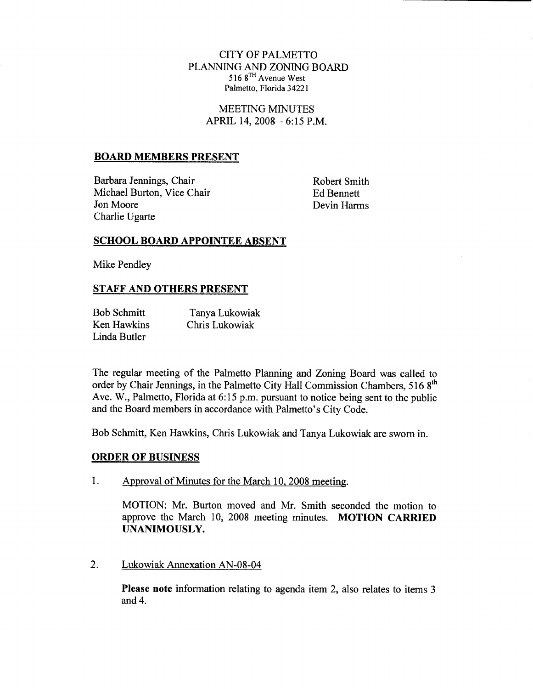# CITY OF PALMETTO PLANNING AND ZONING BOARD 516 8TH Avenue West Palmetto, Florida 34221

MEETING MINUTES APRIL 14,  $2008 - 6:15$  P.M.

### BOARD MEMBERS PRESENT

Barbara Jennings, Chair Michael Burton, Vice Chair Jon Moore Charlie Ugarte

Robert Smith Ed Bennett Devin Harms

## SCHOOL BOARD APPOINTEE ABSENT

Mike Pendley

# STAFF AND OTHERS PRESENT

| <b>Bob Schmitt</b> | Tanya Lukowiak |
|--------------------|----------------|
| Ken Hawkins        | Chris Lukowiak |
| Linda Butler       |                |

The regular meeting of the Palmetto Planning and Zoning Board was called to order by Chair Jennings, in the Palmetto City Hall Commission Chambers, 516 8<sup>th</sup> Five regard meeting of the Falmetto Flaming and Eoning Board was cancel to<br>order by Chair Jennings, in the Palmetto City Hall Commission Chambers, 516  $8^{th}$ <br>Ave. W., Palmetto, Florida at 6:15 p.m. pursuant to notice bein The regular meeting of the Palmetto Planning and 2<br>order by Chair Jennings, in the Palmetto City Hall Cor<br>Ave. W., Palmetto, Florida at 6:15 p.m. pursuant to no<br>and the Board members in accordance with Palmetto's and the Board members in accordance with Palmetto's City Code.

Bob Schmitt, Ken Hawkins, Chris Lukowiak and Tanya Lukowiak are sworn in.

### ORDER OF BUSINESS

1. Approval of Minutes for the March 10, 2008 meeting.

MOTION: Mr. Burton moved and Mr. Smith seconded the motion to approve the March 10, 2008 meeting minutes. MOTION CARRIED UNANIMOUSLY

2. Lukowiak Annexation AN-08-04

Please note information relating to agenda item 2, also relates to items 3 and 4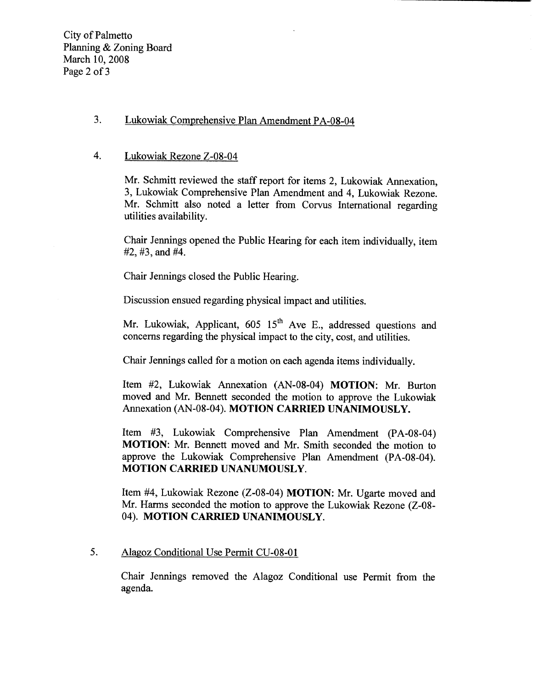City of Palmetto Planning & Zoning Board March 10, 2008 Page 2 of 3

# 3. Lukowiak Comprehensive Plan Amendment PA-08-04 3. Lukowiak Comprehensive P<br>4. Lukowiak Rezone Z-08-04

Mr. Schmitt reviewed the staff report for items 2, Lukowiak Annexation, 3, Lukowiak Comprehensive Plan Amendment and 4, Lukowiak Rezone. Mr. Schmitt also noted a letter from Corvus International regarding utilities availability

Chair Jennings opened the Public Hearing for each item individually item  $#2, #3, and #4.$ 

Chair Jennings closed the Public Hearing

Discussion ensued regarding physical impact and utilities

Mr. Lukowiak, Applicant,  $605 \, 15^{th}$  Ave E., addressed questions and concerns regarding the physical impact to the city, cost, and utilities.

Chair Jennings called for a motion on each agenda items individually.

Item #2, Lukowiak Annexation (AN-08-04) MOTION: Mr. Burton moved and Mr. Bennett seconded the motion to approve the Lukowiak Annexation (AN-08-04). MOTION CARRIED UNANIMOUSLY.

Item #3, Lukowiak Comprehensive Plan Amendment (PA-08-04) MOTION: Mr. Bennett moved and Mr. Smith seconded the motion to approve the Lukowiak Comprehensive Plan Amendment (PA-08-04). MOTION CARRIED UNANUMOUSLY

MOTION: Mr. Bennett moved and Mr. Smith seconded the motion to approve the Lukowiak Comprehensive Plan Amendment (PA-08-04). MOTION CARRIED UNANUMOUSLY.<br>Item #4, Lukowiak Rezone (Z-08-04) MOTION: Mr. Ugarte moved and Mr. H 04). MOTION CARRIED UNANIMOUSLY.

# 5. Alagoz Conditional Use Permit CU-08-01

Chair Jennings removed the Alagoz Conditional use Permit from the agenda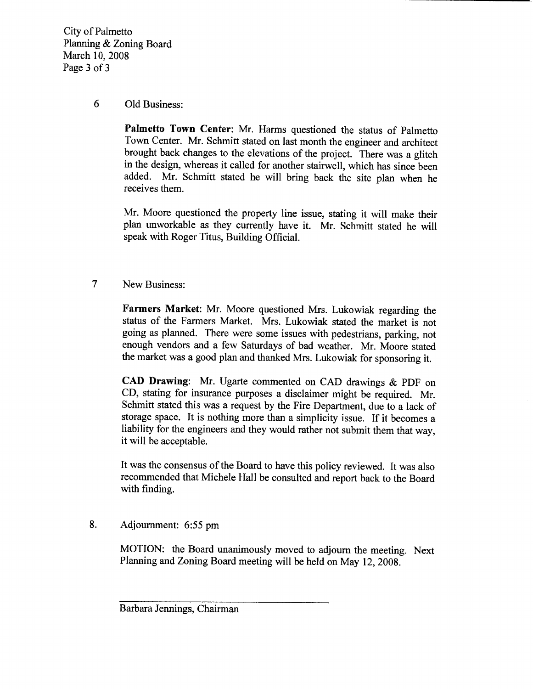City of Palmetto Planning & Zoning Board March 10, 2008 Page 3 of 3

# 6 Old Business

Palmetto Town Center: Mr. Harms questioned the status of Palmetto Town Center. Mr. Schmitt stated on last month the engineer and architect brought back changes to the elevations of the project. There was a glitch in the design, whereas it called for another stairwell, which has since been added. Mr. Schmitt stated he will bring back the site plan when he receives them

Mr. Moore questioned the property line issue, stating it will make their plan unworkable as they currently have it. Mr. Schmitt stated he will speak with Roger Titus, Building Official.

7 New Business

Farmers Market: Mr. Moore questioned Mrs. Lukowiak regarding the status of the Farmers Market. Mrs. Lukowiak stated the market is not going as planned. There were some issues with pedestrians, parking, not enough vendors and a few Saturdays of bad weather. Mr. Moore stated the market was a good plan and thanked Mrs. Lukowiak for sponsoring it.

CAD Drawing: Mr. Ugarte commented on CAD drawings  $\&$  PDF on CD, stating for insurance purposes a disclaimer might be required. Mr. Schmitt stated this was a request by the Fire Department, due to a lack of storage space. It is nothing more than a simplicity issue. If it becomes a liability for the engineers and they would rather not submit them that way. it will be acceptable

It was the consensus of the Board to have this policy reviewed. It was also recommended that Michele Hall be consulted and report back to the Board with finding.

# 8. Adjournment: 6:55 pm

MOTION: the Board unanimously moved to adjourn the meeting. Next Planning and Zoning Board meeting will be held on May 12, 2008.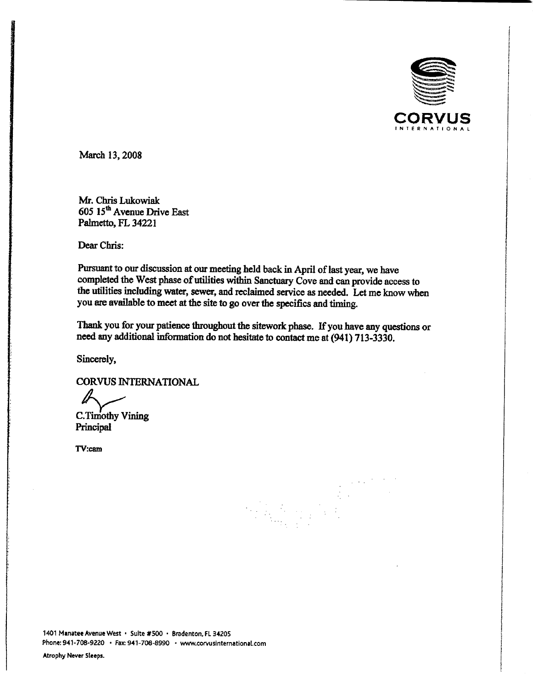

March 13, 2008

Mr. Chris Lukowiak 605 15<sup>th</sup> Avenue Drive East Palmetto, FL 34221

Dear Chris

Pursuant to our discussion at our meeting held back in April of last year, we have completed the West phase of utilities within Sanctuary Cove and can provide access to the utilities including water, sewer, and reclaimed service as needed. Let me know when you are available to meet at the site to go over the specifics and timing.

Thank you for your patience throughout the sitework phase. If you have any questions or need any additional information do not hesitate to contact me at (941) 713-3330.

 $\omega \sim \omega^{-1}$ 

Sincerely

CORVUS INTERNATIONAL

C.Timothy Vining Principal C.Timo<br>Principa<br>TV:cam